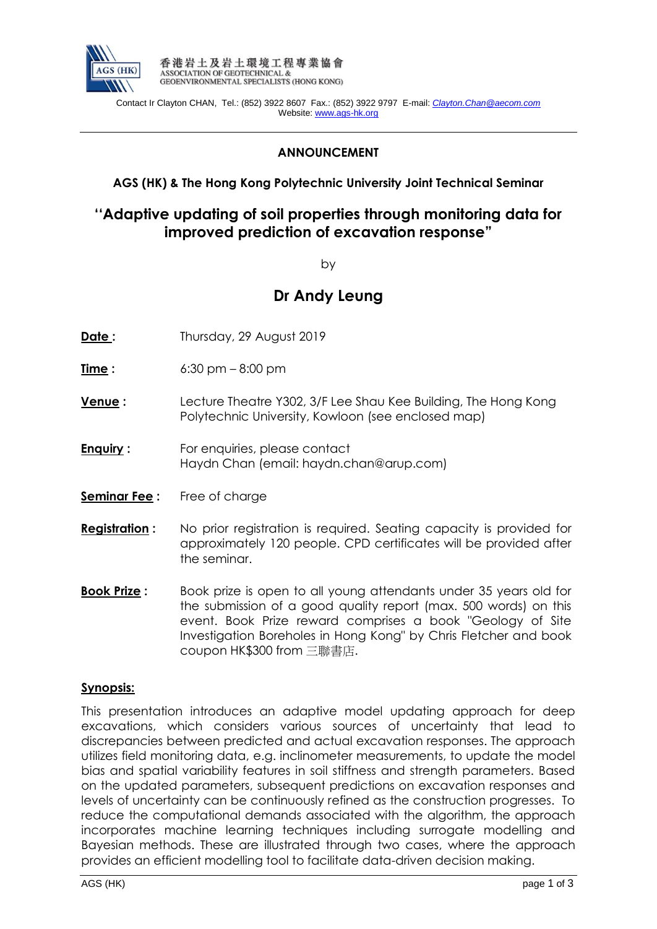

 Contact Ir Clayton CHAN, Tel.: (852) 3922 8607 Fax.: (852) 3922 9797 E-mail: *[Clayton.Chan@aecom.com](mailto:Clayton.Chan@aecom.com)* Website: www.ags-hk.org

## **ANNOUNCEMENT**

## **AGS (HK) & The Hong Kong Polytechnic University Joint Technical Seminar**

## **''Adaptive updating of soil properties through monitoring data for improved prediction of excavation response"**

by

# **Dr Andy Leung**

- **Date:** Thursday, 29 August 2019
- **Time** : 6:30 pm 8:00 pm
- **Venue :** Lecture Theatre Y302, 3/F Lee Shau Kee Building, The Hong Kong Polytechnic University, Kowloon (see enclosed map)
- **Enquiry :** For enquiries, please contact Haydn Chan (email: haydn.chan@arup.com)
- **Seminar Fee**: Free of charge
- **Registration :** No prior registration is required. Seating capacity is provided for approximately 120 people. CPD certificates will be provided after the seminar.
- **Book Prize :** Book prize is open to all young attendants under 35 years old for the submission of a good quality report (max. 500 words) on this event. Book Prize reward comprises a book "Geology of Site Investigation Boreholes in Hong Kong" by Chris Fletcher and book coupon HK\$300 from 三聯書店.

#### **Synopsis:**

This presentation introduces an adaptive model updating approach for deep excavations, which considers various sources of uncertainty that lead to discrepancies between predicted and actual excavation responses. The approach utilizes field monitoring data, e.g. inclinometer measurements, to update the model bias and spatial variability features in soil stiffness and strength parameters. Based on the updated parameters, subsequent predictions on excavation responses and levels of uncertainty can be continuously refined as the construction progresses. To reduce the computational demands associated with the algorithm, the approach incorporates machine learning techniques including surrogate modelling and Bayesian methods. These are illustrated through two cases, where the approach provides an efficient modelling tool to facilitate data-driven decision making.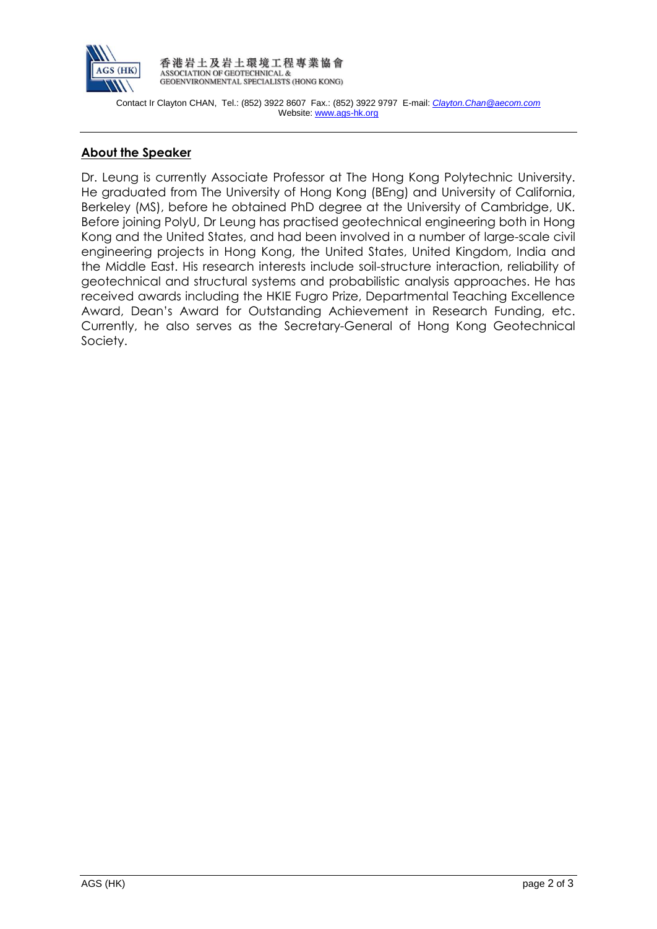

香港岩土及岩土環境工程專業協會 ASSOCIATION OF GEOTECHNICAL &<br>GEOENVIRONMENTAL SPECIALISTS (HONG KONG)

 Contact Ir Clayton CHAN, Tel.: (852) 3922 8607 Fax.: (852) 3922 9797 E-mail: *[Clayton.Chan@aecom.com](mailto:Clayton.Chan@aecom.com)* Website: www.ags-hk.org

## **About the Speaker**

Dr. Leung is currently Associate Professor at The Hong Kong Polytechnic University. He graduated from The University of Hong Kong (BEng) and University of California, Berkeley (MS), before he obtained PhD degree at the University of Cambridge, UK. Before joining PolyU, Dr Leung has practised geotechnical engineering both in Hong Kong and the United States, and had been involved in a number of large-scale civil engineering projects in Hong Kong, the United States, United Kingdom, India and the Middle East. His research interests include soil-structure interaction, reliability of geotechnical and structural systems and probabilistic analysis approaches. He has received awards including the HKIE Fugro Prize, Departmental Teaching Excellence Award, Dean's Award for Outstanding Achievement in Research Funding, etc. Currently, he also serves as the Secretary-General of Hong Kong Geotechnical Society.